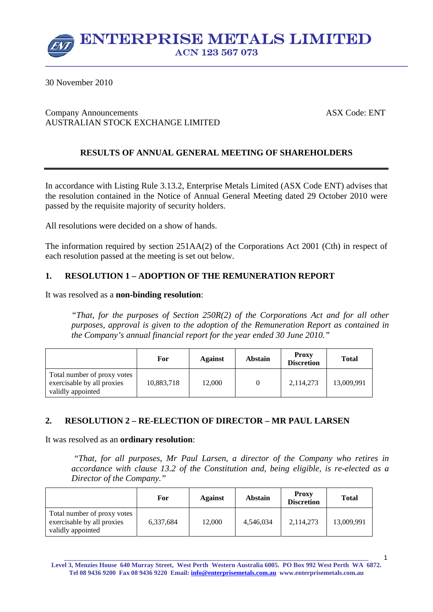

30 November 2010

## Company Announcements ASX Code: ENT AUSTRALIAN STOCK EXCHANGE LIMITED

# **RESULTS OF ANNUAL GENERAL MEETING OF SHAREHOLDERS**

In accordance with Listing Rule 3.13.2, Enterprise Metals Limited (ASX Code ENT) advises that the resolution contained in the Notice of Annual General Meeting dated 29 October 2010 were passed by the requisite majority of security holders.

All resolutions were decided on a show of hands.

The information required by section 251AA(2) of the Corporations Act 2001 (Cth) in respect of each resolution passed at the meeting is set out below.

## **1. RESOLUTION 1 – ADOPTION OF THE REMUNERATION REPORT**

It was resolved as a **non-binding resolution**:

*"That, for the purposes of Section 250R(2) of the Corporations Act and for all other purposes, approval is given to the adoption of the Remuneration Report as contained in the Company's annual financial report for the year ended 30 June 2010."* 

|                                                                                | For        | Against | <b>Abstain</b> | <b>Proxy</b><br><b>Discretion</b> | Total      |
|--------------------------------------------------------------------------------|------------|---------|----------------|-----------------------------------|------------|
| Total number of proxy votes<br>exercisable by all proxies<br>validly appointed | 10,883,718 | 12,000  |                | 2,114,273                         | 13,009,991 |

### **2. RESOLUTION 2 – RE-ELECTION OF DIRECTOR – MR PAUL LARSEN**

It was resolved as an **ordinary resolution**:

 *"That, for all purposes, Mr Paul Larsen, a director of the Company who retires in accordance with clause 13.2 of the Constitution and, being eligible, is re-elected as a Director of the Company."* 

|                                                                                | For       | <b>Against</b> | <b>Abstain</b> | <b>Proxy</b><br><b>Discretion</b> | <b>Total</b> |
|--------------------------------------------------------------------------------|-----------|----------------|----------------|-----------------------------------|--------------|
| Total number of proxy votes<br>exercisable by all proxies<br>validly appointed | 6,337,684 | 12,000         | 4.546.034      | 2.114.273                         | 13,009,991   |

**\_\_\_\_\_\_\_\_\_\_\_\_\_\_\_\_\_\_\_\_\_\_\_\_\_\_\_\_\_\_\_\_\_\_\_\_\_\_\_\_\_\_\_\_\_\_\_\_\_\_\_\_\_\_\_\_\_\_\_\_\_\_\_\_\_\_\_\_\_\_\_\_\_\_\_\_\_\_\_\_\_\_\_\_\_\_\_\_\_\_\_\_\_ Level 3, Menzies House 640 Murray Street, West Perth Western Australia 6005. PO Box 992 West Perth WA 6872. Tel 08 9436 9200 Fax 08 9436 9220 Email: info@enterprisemetals.com.au www.enterprisemetals.com.au**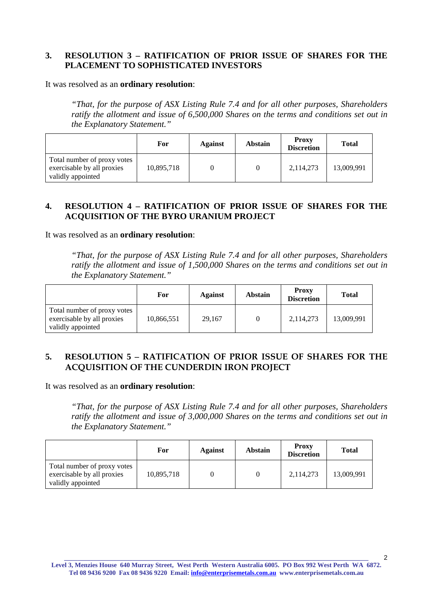# **3. RESOLUTION 3 – RATIFICATION OF PRIOR ISSUE OF SHARES FOR THE PLACEMENT TO SOPHISTICATED INVESTORS**

It was resolved as an **ordinary resolution**:

*"That, for the purpose of ASX Listing Rule 7.4 and for all other purposes, Shareholders ratify the allotment and issue of 6,500,000 Shares on the terms and conditions set out in the Explanatory Statement."* 

|                                                                                | For        | <b>Against</b> | Abstain | <b>Proxy</b><br><b>Discretion</b> | <b>Total</b> |
|--------------------------------------------------------------------------------|------------|----------------|---------|-----------------------------------|--------------|
| Total number of proxy votes<br>exercisable by all proxies<br>validly appointed | 10,895,718 |                |         | 2,114,273                         | 13,009,991   |

## **4. RESOLUTION 4 – RATIFICATION OF PRIOR ISSUE OF SHARES FOR THE ACQUISITION OF THE BYRO URANIUM PROJECT**

It was resolved as an **ordinary resolution**:

*"That, for the purpose of ASX Listing Rule 7.4 and for all other purposes, Shareholders ratify the allotment and issue of 1,500,000 Shares on the terms and conditions set out in the Explanatory Statement."* 

|                                                                                | For        | Against | <b>Abstain</b> | <b>Proxy</b><br><b>Discretion</b> | <b>Total</b> |
|--------------------------------------------------------------------------------|------------|---------|----------------|-----------------------------------|--------------|
| Total number of proxy votes<br>exercisable by all proxies<br>validly appointed | 10,866,551 | 29.167  |                | 2,114,273                         | 13,009,991   |

# **5. RESOLUTION 5 – RATIFICATION OF PRIOR ISSUE OF SHARES FOR THE ACQUISITION OF THE CUNDERDIN IRON PROJECT**

It was resolved as an **ordinary resolution**:

*"That, for the purpose of ASX Listing Rule 7.4 and for all other purposes, Shareholders ratify the allotment and issue of 3,000,000 Shares on the terms and conditions set out in the Explanatory Statement."* 

|                                                                                | For        | Against | <b>Abstain</b> | <b>Proxy</b><br><b>Discretion</b> | <b>Total</b> |
|--------------------------------------------------------------------------------|------------|---------|----------------|-----------------------------------|--------------|
| Total number of proxy votes<br>exercisable by all proxies<br>validly appointed | 10,895,718 |         |                | 2,114,273                         | 13,009,991   |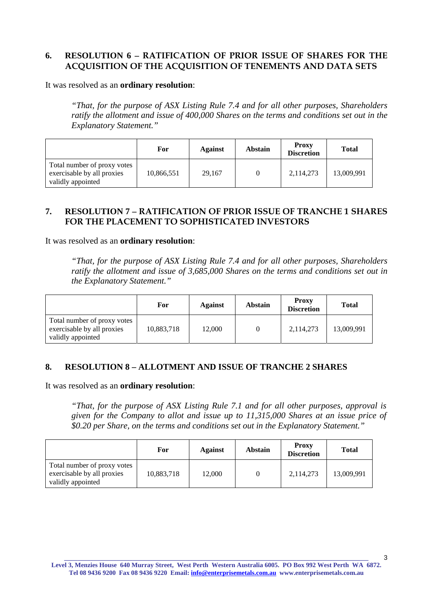# **6. RESOLUTION 6 – RATIFICATION OF PRIOR ISSUE OF SHARES FOR THE ACQUISITION OF THE ACQUISITION OF TENEMENTS AND DATA SETS**

It was resolved as an **ordinary resolution**:

*"That, for the purpose of ASX Listing Rule 7.4 and for all other purposes, Shareholders ratify the allotment and issue of 400,000 Shares on the terms and conditions set out in the Explanatory Statement."* 

|                                                                                | For        | Against | <b>Abstain</b> | <b>Proxy</b><br><b>Discretion</b> | <b>Total</b> |
|--------------------------------------------------------------------------------|------------|---------|----------------|-----------------------------------|--------------|
| Total number of proxy votes<br>exercisable by all proxies<br>validly appointed | 10,866,551 | 29.167  |                | 2,114,273                         | 13,009,991   |

# **7. RESOLUTION 7 – RATIFICATION OF PRIOR ISSUE OF TRANCHE 1 SHARES FOR THE PLACEMENT TO SOPHISTICATED INVESTORS**

It was resolved as an **ordinary resolution**:

*"That, for the purpose of ASX Listing Rule 7.4 and for all other purposes, Shareholders ratify the allotment and issue of 3,685,000 Shares on the terms and conditions set out in the Explanatory Statement."* 

|                                                                                | For        | Against | <b>Abstain</b> | <b>Proxy</b><br><b>Discretion</b> | <b>Total</b> |
|--------------------------------------------------------------------------------|------------|---------|----------------|-----------------------------------|--------------|
| Total number of proxy votes<br>exercisable by all proxies<br>validly appointed | 10,883,718 | 12,000  |                | 2,114,273                         | 13,009,991   |

### **8. RESOLUTION 8 – ALLOTMENT AND ISSUE OF TRANCHE 2 SHARES**

It was resolved as an **ordinary resolution**:

*"That, for the purpose of ASX Listing Rule 7.1 and for all other purposes, approval is given for the Company to allot and issue up to 11,315,000 Shares at an issue price of \$0.20 per Share, on the terms and conditions set out in the Explanatory Statement."* 

|                                                                                | For        | <b>Against</b> | <b>Abstain</b> | <b>Proxy</b><br><b>Discretion</b> | <b>Total</b> |
|--------------------------------------------------------------------------------|------------|----------------|----------------|-----------------------------------|--------------|
| Total number of proxy votes<br>exercisable by all proxies<br>validly appointed | 10,883,718 | 12,000         |                | 2,114,273                         | 13,009,991   |